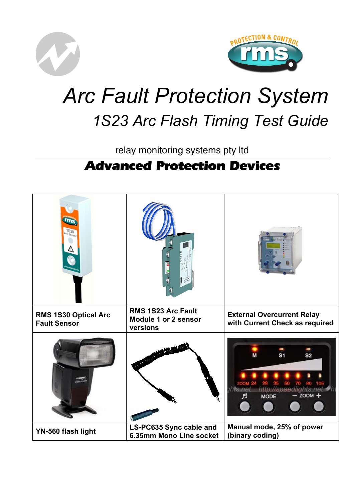



# *Arc Fault Protection System 1S23 Arc Flash Timing Test Guide*

relay monitoring systems pty ltd

# **Advanced Protection Devices**

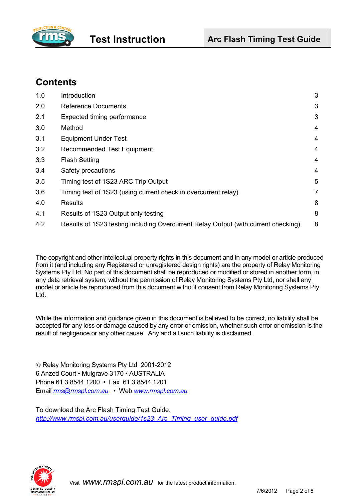

# **Contents**

| 1.0 | Introduction                                                                       | 3              |
|-----|------------------------------------------------------------------------------------|----------------|
| 2.0 | <b>Reference Documents</b>                                                         | 3              |
| 2.1 | Expected timing performance                                                        | 3              |
| 3.0 | Method                                                                             | 4              |
| 3.1 | <b>Equipment Under Test</b>                                                        | 4              |
| 3.2 | <b>Recommended Test Equipment</b>                                                  | 4              |
| 3.3 | <b>Flash Setting</b>                                                               | 4              |
| 3.4 | Safety precautions                                                                 | 4              |
| 3.5 | Timing test of 1S23 ARC Trip Output                                                | 5              |
| 3.6 | Timing test of 1S23 (using current check in overcurrent relay)                     | $\overline{7}$ |
| 4.0 | Results                                                                            | 8              |
| 4.1 | Results of 1S23 Output only testing                                                | 8              |
| 4.2 | Results of 1S23 testing including Overcurrent Relay Output (with current checking) | 8              |

The copyright and other intellectual property rights in this document and in any model or article produced from it (and including any Registered or unregistered design rights) are the property of Relay Monitoring Systems Pty Ltd. No part of this document shall be reproduced or modified or stored in another form, in any data retrieval system, without the permission of Relay Monitoring Systems Pty Ltd, nor shall any model or article be reproduced from this document without consent from Relay Monitoring Systems Pty Ltd.

While the information and guidance given in this document is believed to be correct, no liability shall be accepted for any loss or damage caused by any error or omission, whether such error or omission is the result of negligence or any other cause. Any and all such liability is disclaimed.

© Relay Monitoring Systems Pty Ltd 2001-2012 6 Anzed Court • Mulgrave 3170 • AUSTRALIA Phone 61 3 8544 1200 • Fax 61 3 8544 1201 Email *rms@rmspl.com.au* • Web *www.rmspl.com.au*

To download the Arc Flash Timing Test Guide: *http://www.rmspl.com.au/userguide/1s23\_Arc\_Timing\_user\_guide.pdf* 

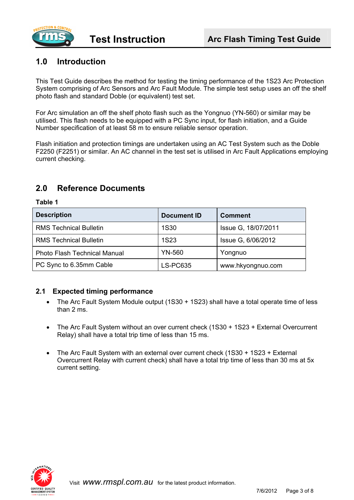

### **1.0 Introduction**

This Test Guide describes the method for testing the timing performance of the 1S23 Arc Protection System comprising of Arc Sensors and Arc Fault Module. The simple test setup uses an off the shelf photo flash and standard Doble (or equivalent) test set.

For Arc simulation an off the shelf photo flash such as the Yongnuo (YN-560) or similar may be utilised. This flash needs to be equipped with a PC Sync input, for flash initiation, and a Guide Number specification of at least 58 m to ensure reliable sensor operation.

Flash initiation and protection timings are undertaken using an AC Test System such as the Doble F2250 (F2251) or similar. An AC channel in the test set is utilised in Arc Fault Applications employing current checking.

#### **2.0 Reference Documents**

# **Description Document ID Comment** RMS Technical Bulletin 1S30 | Issue G, 18/07/2011 RMS Technical Bulletin 1S23 and Security 1S23 and Security 1S23 Issue G, 6/06/2012 Photo Flash Technical Manual | YN-560 | Yongnuo PC Sync to 6.35mm Cable | LS-PC635 | www.hkyongnuo.com

#### **Table 1**

#### **2.1 Expected timing performance**

- The Arc Fault System Module output (1S30 + 1S23) shall have a total operate time of less than 2 ms.
- The Arc Fault System without an over current check (1S30 + 1S23 + External Overcurrent Relay) shall have a total trip time of less than 15 ms.
- The Arc Fault System with an external over current check (1S30 + 1S23 + External Overcurrent Relay with current check) shall have a total trip time of less than 30 ms at 5x current setting.

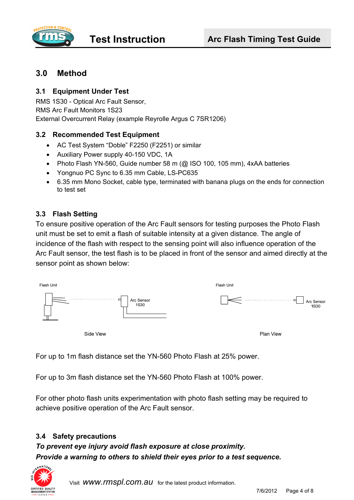

### **3.0 Method**

#### **3.1 Equipment Under Test**

RMS 1S30 - Optical Arc Fault Sensor, RMS Arc Fault Monitors 1S23 External Overcurrent Relay (example Reyrolle Argus C 7SR1206)

#### **3.2 Recommended Test Equipment**

- AC Test System "Doble" F2250 (F2251) or similar
- Auxiliary Power supply 40-150 VDC, 1A
- Photo Flash YN-560, Guide number 58 m (@ ISO 100, 105 mm), 4xAA batteries
- Yongnuo PC Sync to 6.35 mm Cable, LS-PC635
- 6.35 mm Mono Socket, cable type, terminated with banana plugs on the ends for connection to test set

#### **3.3 Flash Setting**

To ensure positive operation of the Arc Fault sensors for testing purposes the Photo Flash unit must be set to emit a flash of suitable intensity at a given distance. The angle of incidence of the flash with respect to the sensing point will also influence operation of the Arc Fault sensor, the test flash is to be placed in front of the sensor and aimed directly at the sensor point as shown below:



For up to 1m flash distance set the YN-560 Photo Flash at 25% power.

For up to 3m flash distance set the YN-560 Photo Flash at 100% power.

For other photo flash units experimentation with photo flash setting may be required to achieve positive operation of the Arc Fault sensor.

#### **3.4 Safety precautions**

*To prevent eye injury avoid flash exposure at close proximity. Provide a warning to others to shield their eyes prior to a test sequence.* 



Visit *www.rmspl.com.au* for the latest product information.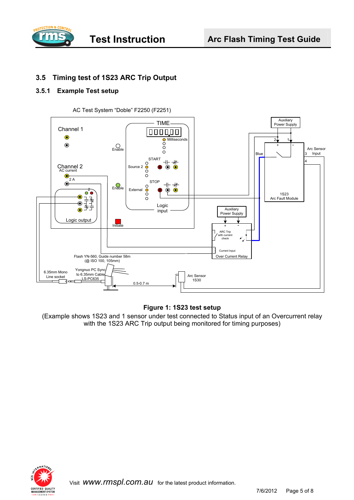

#### **3.5 Timing test of 1S23 ARC Trip Output**

#### **3.5.1 Example Test setup**



#### **Figure 1: 1S23 test setup**

(Example shows 1S23 and 1 sensor under test connected to Status input of an Overcurrent relay with the 1S23 ARC Trip output being monitored for timing purposes)

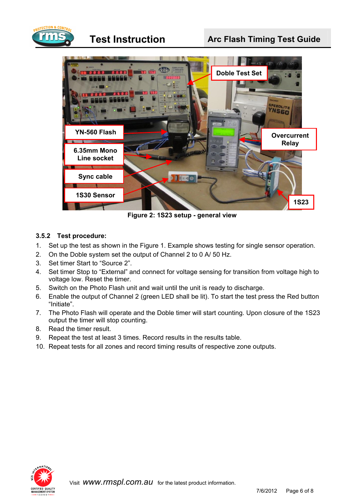

## **Test Instruction Figure 2.5 Arc Flash Timing Test Guide**



**Figure 2: 1S23 setup - general view** 

#### **3.5.2 Test procedure:**

- 1. Set up the test as shown in the Figure 1. Example shows testing for single sensor operation.
- 2. On the Doble system set the output of Channel 2 to 0 A/ 50 Hz.
- 3. Set timer Start to "Source 2".
- 4. Set timer Stop to "External" and connect for voltage sensing for transition from voltage high to voltage low. Reset the timer.
- 5. Switch on the Photo Flash unit and wait until the unit is ready to discharge.
- 6. Enable the output of Channel 2 (green LED shall be lit). To start the test press the Red button "Initiate".
- 7. The Photo Flash will operate and the Doble timer will start counting. Upon closure of the 1S23 output the timer will stop counting.
- 8. Read the timer result.
- 9. Repeat the test at least 3 times. Record results in the results table.
- 10. Repeat tests for all zones and record timing results of respective zone outputs.

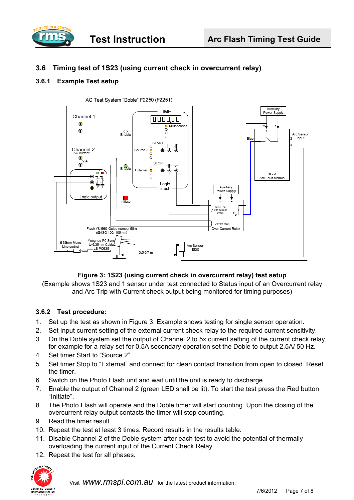

#### **3.6 Timing test of 1S23 (using current check in overcurrent relay)**

#### **3.6.1 Example Test setup**



#### **Figure 3: 1S23 (using current check in overcurrent relay) test setup**

(Example shows 1S23 and 1 sensor under test connected to Status input of an Overcurrent relay and Arc Trip with Current check output being monitored for timing purposes)

#### **3.6.2 Test procedure:**

- 1. Set up the test as shown in Figure 3. Example shows testing for single sensor operation.
- 2. Set Input current setting of the external current check relay to the required current sensitivity.
- 3. On the Doble system set the output of Channel 2 to 5x current setting of the current check relay, for example for a relay set for 0.5A secondary operation set the Doble to output 2.5A/ 50 Hz.
- 4. Set timer Start to "Source 2".
- 5. Set timer Stop to "External" and connect for clean contact transition from open to closed. Reset the timer.
- 6. Switch on the Photo Flash unit and wait until the unit is ready to discharge.
- 7. Enable the output of Channel 2 (green LED shall be lit). To start the test press the Red button "Initiate".
- 8. The Photo Flash will operate and the Doble timer will start counting. Upon the closing of the overcurrent relay output contacts the timer will stop counting.
- 9. Read the timer result.
- 10. Repeat the test at least 3 times. Record results in the results table.
- 11. Disable Channel 2 of the Doble system after each test to avoid the potential of thermally overloading the current input of the Current Check Relay.
- 12. Repeat the test for all phases.



7/6/2012 Page 7 of 8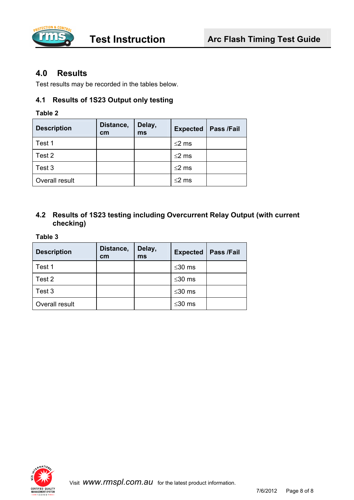

#### **4.0 Results**

Test results may be recorded in the tables below.

#### **4.1 Results of 1S23 Output only testing**

#### **Table 2**

| <b>Description</b> | Distance,<br>cm | Delay,<br>ms | <b>Expected</b> | Pass /Fail |
|--------------------|-----------------|--------------|-----------------|------------|
| Test 1             |                 |              | $\leq$ 2 ms     |            |
| Test 2             |                 |              | $\leq$ 2 ms     |            |
| Test 3             |                 |              | $\leq$ 2 ms     |            |
| Overall result     |                 |              | ≤2 ms           |            |

#### **4.2 Results of 1S23 testing including Overcurrent Relay Output (with current checking)**

#### **Table 3**

| <b>Description</b> | Distance,<br>cm | Delay,<br>ms | <b>Expected</b> | Pass /Fail |
|--------------------|-----------------|--------------|-----------------|------------|
| Test 1             |                 |              | ≤30 $ms$        |            |
| Test 2             |                 |              | $\leq$ 30 ms    |            |
| Test 3             |                 |              | ≤30 $ms$        |            |
| Overall result     |                 |              | ≤30 $ms$        |            |